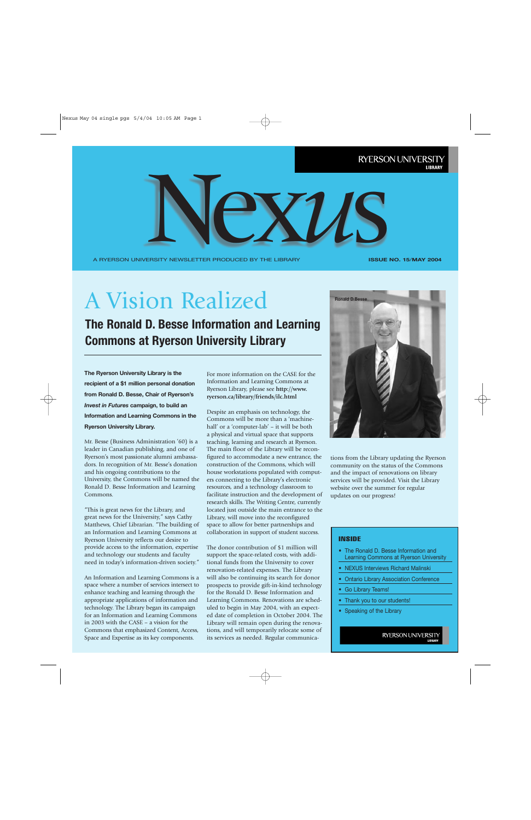A RYERSON UNIVERSITY NEWSLETTER PRODUCED BY THE LIBRARY REXVIS

**ISSUE NO. 15**/**MAY 2004**

# A Vision Realized

**The Ronald D. Besse Information and Learning Commons at Ryerson University Library**

**The Ryerson University Library is the recipient of a \$1 million personal donation from Ronald D. Besse, Chair of Ryerson's** *Invest in Futures* **campaign, to build an Information and Learning Commons in the Ryerson University Library.** 

Mr. Besse (Business Administration '60) is a leader in Canadian publishing, and one of Ryerson's most passionate alumni ambassadors. In recognition of Mr. Besse's donation and his ongoing contributions to the University, the Commons will be named the Ronald D. Besse Information and Learning Commons.

"This is great news for the Library, and great news for the University," says Cathy Matthews, Chief Librarian. "The building of an Information and Learning Commons at Ryerson University reflects our desire to provide access to the information, expertise and technology our students and faculty need in today's information-driven society."

An Information and Learning Commons is a space where a number of services intersect to enhance teaching and learning through the appropriate applications of information and technology. The Library began its campaign for an Information and Learning Commons in 2003 with the CASE – a vision for the Commons that emphasized Content, Access, Space and Expertise as its key components.

For more information on the CASE for the Information and Learning Commons at Ryerson Library, please see **http://www. ryerson.ca/library/friends/ilc.html** 

Despite an emphasis on technology, the Commons will be more than a 'machinehall' or a 'computer-lab' – it will be both a physical and virtual space that supports teaching, learning and research at Ryerson. The main floor of the Library will be reconfigured to accommodate a new entrance, the construction of the Commons, which will house workstations populated with computers connecting to the Library's electronic resources, and a technology classroom to facilitate instruction and the development of research skills. The Writing Centre, currently located just outside the main entrance to the Library, will move into the reconfigured space to allow for better partnerships and collaboration in support of student success.

The donor contribution of \$1 million will support the space-related costs, with additional funds from the University to cover renovation-related expenses. The Library will also be continuing its search for donor prospects to provide gift-in-kind technology for the Ronald D. Besse Information and Learning Commons. Renovations are scheduled to begin in May 2004, with an expected date of completion in October 2004. The Library will remain open during the renovations, and will temporarily relocate some of its services as needed. Regular communica-



tions from the Library updating the Ryerson community on the status of the Commons and the impact of renovations on library services will be provided. Visit the Library website over the summer for regular updates on our progress!

#### INSIDE

- The Ronald D. Besse Information and Learning Commons at Ryerson University
- NEXUS Interviews Richard Malinski
- Ontario Library Association Conference
- Go Library Teams!
- Thank you to our students!
- Speaking of the Library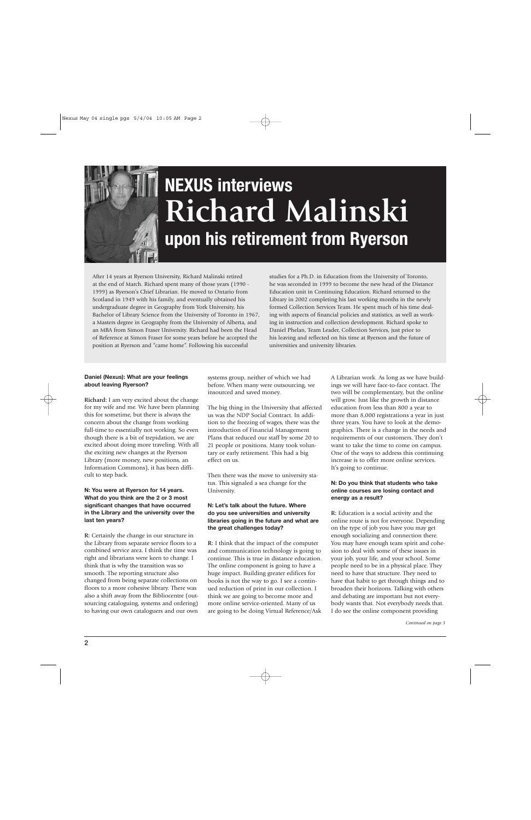

# **NEXUS interviews Richard Malinski upon his retirement from Ryerson**

After 14 years at Ryerson University, Richard Malinski retired at the end of March. Richard spent many of those years (1990 - 1999) as Ryerson's Chief Librarian. He moved to Ontario from Scotland in 1949 with his family, and eventually obtained his undergraduate degree in Geography from York University, his Bachelor of Library Science from the University of Toronto in 1967, a Masters degree in Geography from the University of Alberta, and an MBA from Simon Fraser University. Richard had been the Head of Reference at Simon Fraser for some years before he accepted the position at Ryerson and "came home". Following his successful

studies for a Ph.D. in Education from the University of Toronto, he was seconded in 1999 to become the new head of the Distance Education unit in Continuing Education. Richard returned to the Library in 2002 completing his last working months in the newly formed Collection Services Team. He spent much of his time dealing with aspects of financial policies and statistics, as well as working in instruction and collection development. Richard spoke to Daniel Phelan, Team Leader, Collection Services, just prior to his leaving and reflected on his time at Ryerson and the future of universities and university libraries.

#### **Daniel (Nexus): What are your feelings about leaving Ryerson?**

**Richard:** I am very excited about the change for my wife and me. We have been planning this for sometime, but there is always the concern about the change from working full-time to essentially not working. So even though there is a bit of trepidation, we are excited about doing more traveling. With all the exciting new changes at the Ryerson Library (more money, new positions, an Information Commons), it has been difficult to step back.

#### **N: You were at Ryerson for 14 years. What do you think are the 2 or 3 most significant changes that have occurred in the Library and the university over the last ten years?**

**R:** Certainly the change in our structure in the Library from separate service floors to a combined service area. I think the time was right and librarians were keen to change. I think that is why the transition was so smooth. The reporting structure also changed from being separate collections on floors to a more cohesive library. There was also a shift away from the Bibliocentre (outsourcing cataloguing, systems and ordering) to having our own cataloguers and our own

systems group, neither of which we had before. When many were outsourcing, we insourced and saved money.

The big thing in the University that affected us was the NDP Social Contract. In addition to the freezing of wages, there was the introduction of Financial Management Plans that reduced our staff by some 20 to 21 people or positions. Many took voluntary or early retirement. This had a big effect on us.

Then there was the move to university status. This signaled a sea change for the University.

#### **N: Let's talk about the future. Where do you see universities and university libraries going in the future and what are the great challenges today?**

**R:** I think that the impact of the computer and communication technology is going to continue. This is true in distance education. The online component is going to have a huge impact. Building greater edifices for books is not the way to go. I see a continued reduction of print in our collection. I think we are going to become more and more online service-oriented. Many of us are going to be doing Virtual Reference/Ask A Librarian work. As long as we have buildings we will have face-to-face contact. The two will be complementary, but the online will grow. Just like the growth in distance education from less than 800 a year to more than 8,000 registrations a year in just three years. You have to look at the demographics. There is a change in the needs and requirements of our customers. They don't want to take the time to come on campus. One of the ways to address this continuing increase is to offer more online services. It's going to continue.

#### **N: Do you think that students who take online courses are losing contact and energy as a result?**

**R:** Education is a social activity and the online route is not for everyone. Depending on the type of job you have you may get enough socializing and connection there. You may have enough team spirit and cohesion to deal with some of these issues in your job, your life, and your school. Some people need to be in a physical place. They need to have that structure. They need to have that habit to get through things and to broaden their horizons. Talking with others and debating are important but not everybody wants that. Not everybody needs that. I do see the online component providing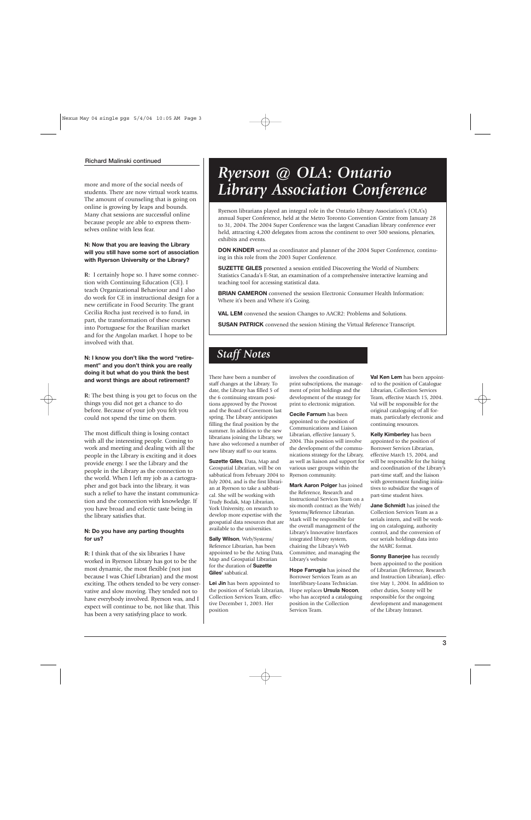#### **Richard Malinski continued**

more and more of the social needs of students. There are now virtual work teams. The amount of counseling that is going on online is growing by leaps and bounds. Many chat sessions are successful online because people are able to express themselves online with less fear.

#### **N: Now that you are leaving the Library will you still have some sort of association with Ryerson University or the Library?**

**R:** I certainly hope so. I have some connection with Continuing Education (CE). I teach Organizational Behaviour and I also do work for CE in instructional design for a new certificate in Food Security. The grant Cecilia Rocha just received is to fund, in part, the transformation of these courses into Portuguese for the Brazilian market and for the Angolan market. I hope to be involved with that.

#### **N: I know you don't like the word "retirement" and you don't think you are really doing it but what do you think the best and worst things are about retirement?**

**R:** The best thing is you get to focus on the things you did not get a chance to do before. Because of your job you felt you could not spend the time on them.

The most difficult thing is losing contact with all the interesting people. Coming to work and meeting and dealing with all the people in the Library is exciting and it does provide energy. I see the Library and the people in the Library as the connection to the world. When I left my job as a cartographer and got back into the library, it was such a relief to have the instant communication and the connection with knowledge. If you have broad and eclectic taste being in the library satisfies that.

#### **N: Do you have any parting thoughts for us?**

**R:** I think that of the six libraries I have worked in Ryerson Library has got to be the most dynamic, the most flexible (not just because I was Chief Librarian) and the most exciting. The others tended to be very conservative and slow moving. They tended not to have everybody involved. Ryerson was, and I expect will continue to be, not like that. This has been a very satisfying place to work.

## *Ryerson @ OLA: Ontario Library Association Conference*

Ryerson librarians played an integral role in the Ontario Library Association's (OLA's) annual Super Conference, held at the Metro Toronto Convention Centre from January 28 to 31, 2004. The 2004 Super Conference was the largest Canadian library conference ever held, attracting 4,200 delegates from across the continent to over 500 sessions, plenaries, exhibits and events.

**DON KINDER** served as coordinator and planner of the 2004 Super Conference, continuing in this role from the 2003 Super Conference.

**SUZETTE GILES** presented a session entitled Discovering the World of Numbers: Statistics Canada's E-Stat, an examination of a comprehensive interactive learning and teaching tool for accessing statistical data.

**BRIAN CAMERON** convened the session Electronic Consumer Health Information: Where it's been and Where it's Going.

**VAL LEM** convened the session Changes to AACR2: Problems and Solutions.

**SUSAN PATRICK** convened the session Mining the Virtual Reference Transcript.

#### *Staff Notes*

There have been a number of staff changes at the Library. To date, the Library has filled 5 of the 6 continuing stream positions approved by the Provost and the Board of Governors last spring. The Library anticipates filling the final position by the summer. In addition to the new librarians joining the Library, we have also welcomed a number of new library staff to our teams.

**Suzette Giles**, Data, Map and Geospatial Librarian, will be on sabbatical from February 2004 to July 2004, and is the first librarian at Ryerson to take a sabbatical. She will be working with Trudy Bodak, Map Librarian, York University, on research to develop more expertise with the geospatial data resources that are available to the universities.

**Sally Wilson**, Web/Systems/ Reference Librarian, has been appointed to be the Acting Data, Map and Geospatial Librarian for the duration of **Suzette Giles'** sabbatical.

**Lei Jin** has been appointed to the position of Serials Librarian, Collection Services Team, effective December 1, 2003. Her position

involves the coordination of print subscriptions, the management of print holdings and the development of the strategy for print to electronic migration.

**Cecile Farnum** has been appointed to the position of Communications and Liaison Librarian, effective January 5, 2004. This position will involve the development of the communications strategy for the Library, as well as liaison and support for various user groups within the Ryerson community.

**Mark Aaron Polger** has joined the Reference, Research and Instructional Services Team on a six-month contract as the Web/ Systems/Reference Librarian. Mark will be responsible for the overall management of the Library's Innovative Interfaces integrated library system, chairing the Library's Web Committee, and managing the Library's website

**Hope Farrugia** has joined the Borrower Services Team as an Interlibrary-Loans Technician. Hope replaces **Ursula Nocon**, who has accepted a cataloguing position in the Collection Services Team.

**Val Ken Lem** has been appointed to the position of Catalogue Librarian, Collection Services Team, effective March 15, 2004. Val will be responsible for the original cataloguing of all formats, particularly electronic and continuing resources.

**Kelly Kimberley** has been appointed to the position of Borrower Services Librarian, effective March 15, 2004, and will be responsible for the hiring and coordination of the Library's part-time staff, and the liaison with government funding initiatives to subsidize the wages of part-time student hires.

**Jane Schmidt** has joined the Collection Services Team as a serials intern, and will be working on cataloguing, authority control, and the conversion of our serials holdings data into the MARC format.

**Sonny Banerjee** has recently been appointed to the position of Librarian (Reference, Research and Instruction Librarian), effective May 1, 2004. In addition to other duties, Sonny will be responsible for the ongoing development and management of the Library Intranet.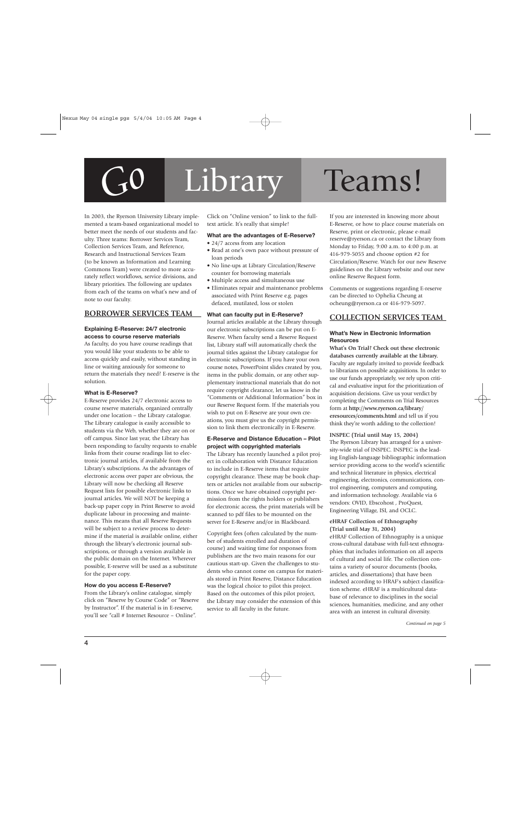# *Go* Library Teams!

#### In 2003, the Ryerson University Library implemented a team-based organizational model to better meet the needs of our students and faculty. Three teams: Borrower Services Team, Collection Services Team, and Reference, Research and Instructional Services Team (to be known as Information and Learning Commons Team) were created to more accurately reflect workflows, service divisions, and library priorities. The following are updates from each of the teams on what's new and of note to our faculty.

#### **BORROWER SERVICES TEAM**

#### **Explaining E-Reserve: 24/7 electronic access to course reserve materials**

As faculty, do you have course readings that you would like your students to be able to access quickly and easily, without standing in line or waiting anxiously for someone to return the materials they need? E-reserve is the solution.

#### **What is E-Reserve?**

E-Reserve provides 24/7 electronic access to course reserve materials, organized centrally under one location – the Library catalogue. The Library catalogue is easily accessible to students via the Web, whether they are on or off campus. Since last year, the Library has been responding to faculty requests to enable links from their course readings list to electronic journal articles, if available from the Library's subscriptions. As the advantages of electronic access over paper are obvious, the Library will now be checking all Reserve Request lists for possible electronic links to journal articles. We will NOT be keeping a back-up paper copy in Print Reserve to avoid duplicate labour in processing and maintenance. This means that all Reserve Requests will be subject to a review process to determine if the material is available online, either through the library's electronic journal subscriptions, or through a version available in the public domain on the Internet. Wherever possible, E-reserve will be used as a substitute for the paper copy.

#### **How do you access E-Reserve?**

From the Library's online catalogue, simply click on "Reserve by Course Code" or "Reserve by Instructor". If the material is in E-reserve, you'll see "call # Internet Resource – Online".

Click on "Online version" to link to the fulltext article. It's really that simple!

#### **What are the advantages of E-Reserve?**

- 24/7 access from any location
- Read at one's own pace without pressure of loan periods
- No line-ups at Library Circulation/Reserve counter for borrowing materials
- Multiple access and simultaneous use
- Eliminates repair and maintenance problems associated with Print Reserve e.g. pages defaced, mutilated, loss or stolen

#### **What can faculty put in E-Reserve?**

Journal articles available at the Library through our electronic subscriptions can be put on E-Reserve. When faculty send a Reserve Request list, Library staff will automatically check the journal titles against the Library catalogue for electronic subscriptions. If you have your own course notes, PowerPoint slides created by you, items in the public domain, or any other supplementary instructional materials that do not require copyright clearance, let us know in the "Comments or Additional Information" box in our Reserve Request form. If the materials you wish to put on E-Reserve are your own creations, you must give us the copyright permission to link them electronically in E-Reserve.

#### **E-Reserve and Distance Education – Pilot project with copyrighted materials**

The Library has recently launched a pilot project in collaboration with Distance Education to include in E-Reserve items that require copyright clearance. These may be book chapters or articles not available from our subscriptions. Once we have obtained copyright permission from the rights holders or publishers for electronic access, the print materials will be scanned to pdf files to be mounted on the server for E-Reserve and/or in Blackboard.

Copyright fees (often calculated by the number of students enrolled and duration of course) and waiting time for responses from publishers are the two main reasons for our cautious start-up. Given the challenges to students who cannot come on campus for materials stored in Print Reserve, Distance Education was the logical choice to pilot this project. Based on the outcomes of this pilot project, the Library may consider the extension of this service to all faculty in the future.

If you are interested in knowing more about E-Reserve, or how to place course materials on Reserve, print or electronic, please e-mail reserve@ryerson.ca or contact the Library from Monday to Friday, 9:00 a.m. to 4:00 p.m. at 416-979-5055 and choose option #2 for Circulation/Reserve. Watch for our new Reserve guidelines on the Library website and our new online Reserve Request form.

Comments or suggestions regarding E-reserve can be directed to Ophelia Cheung at ocheung@ryerson.ca or 416-979-5097.

#### **COLLECTION SERVICES TEAM**

#### **What's New in Electronic Information Resources**

**What's On Trial? Check out these electronic databases currently available at the Library.** Faculty are regularly invited to provide feedback to librarians on possible acquisitions. In order to use our funds appropriately, we rely upon critical and evaluative input for the prioritization of acquisition decisions. Give us your verdict by completing the Comments on Trial Resources form at **http://www.ryerson.ca/library/ eresources/comments.html** and tell us if you think they're worth adding to the collection!

#### **INSPEC (Trial until May 15, 2004)**

The Ryerson Library has arranged for a university-wide trial of INSPEC. INSPEC is the leading English-language bibliographic information service providing access to the world's scientific and technical literature in physics, electrical engineering, electronics, communications, control engineering, computers and computing, and information technology. Available via 6 vendors: OVID, Ebscohost , ProQuest, Engineering Village, ISI, and OCLC.

#### **eHRAF Collection of Ethnography (Trial until May 31, 2004)**

eHRAF Collection of Ethnography is a unique cross-cultural database with full-text ethnographies that includes information on all aspects of cultural and social life. The collection contains a variety of source documents (books, articles, and dissertations) that have been indexed according to HRAF's subject classification scheme. eHRAF is a multicultural database of relevance to disciplines in the social sciences, humanities, medicine, and any other area with an interest in cultural diversity.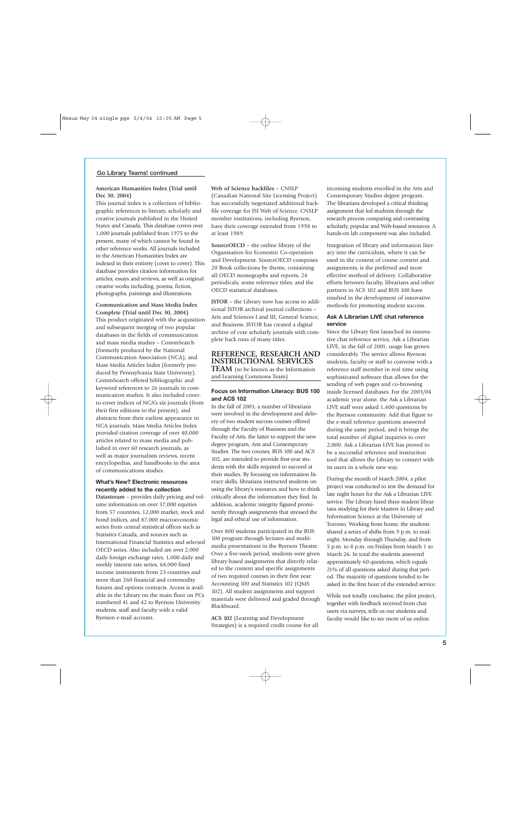#### **Go Library Teams! continued**

#### **American Humanities Index (Trial until Dec 30, 2004)**

This journal index is a collection of bibliographic references to literary, scholarly and creative journals published in the United States and Canada. This database covers over 1,000 journals published from 1975 to the present, many of which cannot be found in other reference works. All journals included in the American Humanities Index are indexed in their entirety (cover to cover). This database provides citation information for articles, essays and reviews, as well as original creative works including, poems, fiction, photographs, paintings and illustrations.

**Communication and Mass Media Index Complete (Trial until Dec 30, 2004)** This product originated with the acquisition and subsequent merging of two popular databases in the fields of communication and mass media studies – CommSearch (formerly produced by the National Communication Association (NCA), and Mass Media Articles Index (formerly produced by Pennsylvania State University). CommSearch offered bibliographic and keyword references to 26 journals in communication studies. It also included coverto-cover indices of NCA's six journals (from their first editions to the present), and abstracts from their earliest appearance in NCA journals. Mass Media Articles Index provided citation coverage of over 40,000 articles related to mass media and published in over 60 research journals, as well as major journalism reviews, recent encyclopedias, and handbooks in the area of communications studies.

#### **What's New? Electronic resources recently added to the collection**

**Datastream** – provides daily pricing and volume information on over 37,000 equities from 57 countries, 12,000 market, stock and bond indices, and 87,000 macroeconomic series from central statistical offices such as Statistics Canada, and sources such as International Financial Statistics and selected OECD series. Also included are over 2,000 daily foreign exchange rates, 1,000 daily and weekly interest rate series, 68,000 fixed income instruments from 23 countries and more than 260 financial and commodity futures and options contracts. Access is available in the Library on the main floor on PCs numbered 41 and 42 to Ryerson University students, staff and faculty with a valid Ryerson e-mail account.

**Web of Science backfiles** – CNSLP

(Canadian National Site Licensing Project) has successfully negotiated additional backfile coverage for ISI Web of Science. CNSLP member institutions, including Ryerson, have their coverage extended from 1998 to at least 1989.

**SourceOECD** – the online library of the Organisation for Economic Co-operation and Development. SourceOECD comprises 20 Book collections by theme, containing all OECD monographs and reports; 24 periodicals; some reference titles; and the OECD statistical databases.

**JSTOR** – the Library now has access to additional JSTOR archival journal collections – Arts and Sciences I and III, General Science, and Business. JSTOR has created a digital archive of core scholarly journals with complete back runs of many titles.

#### **REFERENCE, RESEARCH AND INSTRUCTIONAL SERVICES**

**TEAM** (to be known as the Information and Learning Commons Team)

#### **Focus on Information Literacy: BUS 100 and ACS 102**

In the fall of 2003, a number of librarians were involved in the development and delivery of two student success courses offered through the Faculty of Business and the Faculty of Arts, the latter to support the new degree program, Arts and Contemporary Studies. The two courses, BUS 100 and ACS 102, are intended to provide first-year students with the skills required to succeed at their studies. By focusing on information literacy skills, librarians instructed students on using the library's resources and how to think critically about the information they find. In addition, academic integrity figured prominently through assignments that stressed the legal and ethical use of information.

Over 800 students participated in the BUS 100 program through lectures and multimedia presentations in the Ryerson Theatre. Over a five-week period, students were given library-based assignments that directly related to the content and specific assignments of two required courses in their first year: Accounting 100 and Statistics 102 (QMS 102). All student assignments and support materials were delivered and graded through Blackboard.

**ACS 102** (Learning and Development Strategies) is a required credit course for all incoming students enrolled in the Arts and Contemporary Studies degree program. The librarians developed a critical thinking assignment that led students through the research process comparing and contrasting scholarly, popular and Web-based resources. A hands-on lab component was also included.

Integration of library and information literacy into the curriculum, where it can be used in the context of course content and assignments, is the preferred and most effective method of delivery. Collaborative efforts between faculty, librarians and other partners in ACS 102 and BUS 100 have resulted in the development of innovative methods for promoting student success.

#### **Ask A Librarian LIVE chat reference service**

Since the Library first launched its innovative chat reference service, Ask a Librarian LIVE, in the fall of 2001, usage has grown considerably. The service allows Ryerson students, faculty or staff to converse with a reference staff member in real time using sophisticated software that allows for the sending of web pages and co-browsing inside licensed databases. For the 2003/04 academic year alone, the Ask a Librarian LIVE staff were asked 1,400 questions by the Ryerson community. Add that figure to the e-mail reference questions answered during the same period, and it brings the total number of digital inquiries to over 2,000. Ask a Librarian LIVE has proved to be a successful reference and instruction tool that allows the Library to connect with its users in a whole new way.

During the month of March 2004, a pilot project was conducted to test the demand for late night hours for the Ask a Librarian LIVE service. The Library hired three student librarians studying for their Masters in Library and Information Science at the University of Toronto. Working from home, the students shared a series of shifts from 9 p.m. to midnight, Monday through Thursday, and from 5 p.m. to 8 p.m. on Fridays from March 1 to March 26. In total the students answered approximately 60 questions, which equals 21% of all questions asked during that period. The majority of questions tended to be asked in the first hour of the extended service.

While not totally conclusive, the pilot project, together with feedback received from chat users via surveys, tells us our students and faculty would like to see more of us online.